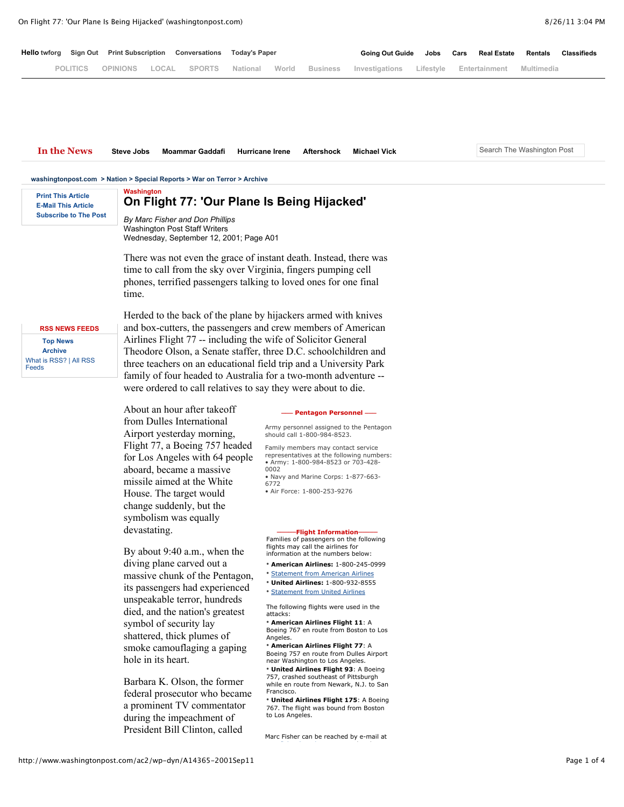| <b>Hello</b> twforg Sign Out Print Subscription<br><b>POLITICS</b> | Conversations<br><b>Today's Paper</b><br><b>OPINIONS</b><br>LOCAL<br><b>SPORTS</b><br>National                                | World<br><b>Business</b>                                                        | <b>Going Out Guide</b><br>Jobs<br>Investigations<br>Lifestyle | <b>Real Estate</b><br>Cars<br>Entertainment | Rentals<br>Classifieds<br>Multimedia |
|--------------------------------------------------------------------|-------------------------------------------------------------------------------------------------------------------------------|---------------------------------------------------------------------------------|---------------------------------------------------------------|---------------------------------------------|--------------------------------------|
|                                                                    |                                                                                                                               |                                                                                 |                                                               |                                             |                                      |
| <b>In the News</b>                                                 | <b>Steve Jobs</b><br><b>Moammar Gaddafi</b>                                                                                   | <b>Hurricane Irene</b><br>Aftershock                                            | <b>Michael Vick</b>                                           |                                             | Search The Washington Post           |
|                                                                    | washingtonpost.com > Nation > Special Reports > War on Terror > Archive                                                       |                                                                                 |                                                               |                                             |                                      |
| <b>Print This Article</b>                                          | Washington                                                                                                                    |                                                                                 |                                                               |                                             |                                      |
| <b>E-Mail This Article</b>                                         | On Flight 77: 'Our Plane Is Being Hijacked'                                                                                   |                                                                                 |                                                               |                                             |                                      |
| <b>Subscribe to The Post</b>                                       | By Marc Fisher and Don Phillips                                                                                               |                                                                                 |                                                               |                                             |                                      |
|                                                                    | Washington Post Staff Writers                                                                                                 |                                                                                 |                                                               |                                             |                                      |
|                                                                    | Wednesday, September 12, 2001; Page A01                                                                                       |                                                                                 |                                                               |                                             |                                      |
|                                                                    | There was not even the grace of instant death. Instead, there was                                                             |                                                                                 |                                                               |                                             |                                      |
|                                                                    | time to call from the sky over Virginia, fingers pumping cell                                                                 |                                                                                 |                                                               |                                             |                                      |
|                                                                    | phones, terrified passengers talking to loved ones for one final                                                              |                                                                                 |                                                               |                                             |                                      |
|                                                                    | time.                                                                                                                         |                                                                                 |                                                               |                                             |                                      |
|                                                                    |                                                                                                                               |                                                                                 |                                                               |                                             |                                      |
|                                                                    | Herded to the back of the plane by hijackers armed with knives                                                                |                                                                                 |                                                               |                                             |                                      |
| <b>RSS NEWS FEEDS</b>                                              | and box-cutters, the passengers and crew members of American<br>Airlines Flight 77 -- including the wife of Solicitor General |                                                                                 |                                                               |                                             |                                      |
| <b>Top News</b><br><b>Archive</b>                                  | Theodore Olson, a Senate staffer, three D.C. schoolchildren and                                                               |                                                                                 |                                                               |                                             |                                      |
| What is RSS?   All RSS                                             | three teachers on an educational field trip and a University Park                                                             |                                                                                 |                                                               |                                             |                                      |
| Feeds                                                              | family of four headed to Australia for a two-month adventure --                                                               |                                                                                 |                                                               |                                             |                                      |
|                                                                    | were ordered to call relatives to say they were about to die.                                                                 |                                                                                 |                                                               |                                             |                                      |
|                                                                    |                                                                                                                               |                                                                                 |                                                               |                                             |                                      |
|                                                                    | About an hour after takeoff                                                                                                   | - Pentagon Personnel                                                            |                                                               |                                             |                                      |
|                                                                    | from Dulles International                                                                                                     | Army personnel assigned to the Pentagon                                         |                                                               |                                             |                                      |
|                                                                    | Airport yesterday morning,                                                                                                    | should call 1-800-984-8523.                                                     |                                                               |                                             |                                      |
|                                                                    | Flight 77, a Boeing 757 headed                                                                                                | Family members may contact service                                              |                                                               |                                             |                                      |
|                                                                    | for Los Angeles with 64 people                                                                                                | representatives at the following numbers:<br>• Army: 1-800-984-8523 or 703-428- |                                                               |                                             |                                      |
|                                                                    | aboard, became a massive                                                                                                      | 0002<br>• Navy and Marine Corps: 1-877-663-                                     |                                                               |                                             |                                      |
|                                                                    | missile aimed at the White                                                                                                    |                                                                                 |                                                               |                                             |                                      |
|                                                                    | House. The target would                                                                                                       | • Air Force: 1-800-253-9276                                                     |                                                               |                                             |                                      |
|                                                                    | change suddenly, but the                                                                                                      |                                                                                 |                                                               |                                             |                                      |
|                                                                    | symbolism was equally                                                                                                         |                                                                                 |                                                               |                                             |                                      |
|                                                                    | devastating.                                                                                                                  | <b>Flight Information-</b><br>Families of passengers on the following           |                                                               |                                             |                                      |
|                                                                    | By about 9:40 a.m., when the                                                                                                  | flights may call the airlines for                                               |                                                               |                                             |                                      |
|                                                                    | diving plane carved out a                                                                                                     | information at the numbers below:<br><b>American Airlines: 1-800-245-0999</b>   |                                                               |                                             |                                      |
|                                                                    | massive chunk of the Pentagon,                                                                                                | <b>• Statement from American Airlines</b>                                       |                                                               |                                             |                                      |
|                                                                    | its passengers had experienced                                                                                                | <b>United Airlines: 1-800-932-8555</b>                                          |                                                               |                                             |                                      |
|                                                                    | unspeakable terror, hundreds                                                                                                  | <b>• Statement from United Airlines</b>                                         |                                                               |                                             |                                      |
|                                                                    | died, and the nation's greatest                                                                                               | The following flights were used in the<br>attacks:                              |                                                               |                                             |                                      |
|                                                                    | symbol of security lay                                                                                                        | <b>• American Airlines Flight 11: A</b>                                         |                                                               |                                             |                                      |
|                                                                    | shattered, thick plumes of                                                                                                    | Boeing 767 en route from Boston to Los<br>Angeles.                              |                                                               |                                             |                                      |
|                                                                    | smoke camouflaging a gaping                                                                                                   | <b>• American Airlines Flight 77</b> : A                                        |                                                               |                                             |                                      |
|                                                                    | hole in its heart.                                                                                                            | Boeing 757 en route from Dulles Airport<br>near Washington to Los Angeles.      |                                                               |                                             |                                      |
|                                                                    |                                                                                                                               | <b>• United Airlines Flight 93: A Boeing</b>                                    |                                                               |                                             |                                      |
|                                                                    | Barbara K. Olson, the former                                                                                                  | 757, crashed southeast of Pittsburgh<br>while en route from Newark, N.J. to San |                                                               |                                             |                                      |
|                                                                    | federal prosecutor who became                                                                                                 | Francisco.<br>* United Airlines Flight 175: A Boeing                            |                                                               |                                             |                                      |
|                                                                    | a prominent TV commentator                                                                                                    | 767. The flight was bound from Boston                                           |                                                               |                                             |                                      |

• **United Airlines Flight 175**: A Boeing 767. The flight was bound from Boston to Los Angeles.

Marc Fisher can be reached by e-mail at

during the impeachment of President Bill Clinton, called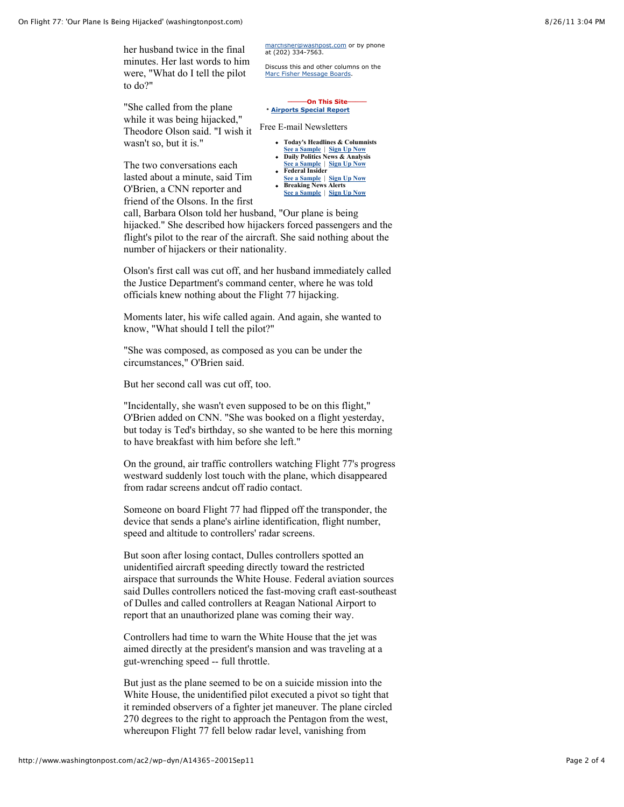her husband twice in the final minutes. Her last words to him were, "What do I tell the pilot to do?"

"She called from the plane while it was being hijacked," Theodore Olson said. "I wish it wasn't so, but it is."

The two conversations each lasted about a minute, said Tim O'Brien, a CNN reporter and friend of the Olsons. In the first marcfisher@washpost.com or by phone at (202) 334-7563.

Discuss this and other columns on the Marc Fisher Message Boards.

### **\_\_\_\_\_On This Site\_\_\_\_\_** • **Airports Special Report**

Free E-mail Newsletters

- **Today's Headlines & Columnists**
- **See a Sample** | **Sign Up Now Daily Politics News & Analysis**
- **See a Sample** | **Sign Up Now**
- **Federal Insider**
- **See a Sample** | **Sign Up Now Breaking News Alerts**
- **See a Sample** | **Sign Up Now**

call, Barbara Olson told her husband, "Our plane is being hijacked." She described how hijackers forced passengers and the flight's pilot to the rear of the aircraft. She said nothing about the number of hijackers or their nationality.

Olson's first call was cut off, and her husband immediately called the Justice Department's command center, where he was told officials knew nothing about the Flight 77 hijacking.

Moments later, his wife called again. And again, she wanted to know, "What should I tell the pilot?"

"She was composed, as composed as you can be under the circumstances," O'Brien said.

But her second call was cut off, too.

"Incidentally, she wasn't even supposed to be on this flight," O'Brien added on CNN. "She was booked on a flight yesterday, but today is Ted's birthday, so she wanted to be here this morning to have breakfast with him before she left."

On the ground, air traffic controllers watching Flight 77's progress westward suddenly lost touch with the plane, which disappeared from radar screens andcut off radio contact.

Someone on board Flight 77 had flipped off the transponder, the device that sends a plane's airline identification, flight number, speed and altitude to controllers' radar screens.

But soon after losing contact, Dulles controllers spotted an unidentified aircraft speeding directly toward the restricted airspace that surrounds the White House. Federal aviation sources said Dulles controllers noticed the fast-moving craft east-southeast of Dulles and called controllers at Reagan National Airport to report that an unauthorized plane was coming their way.

Controllers had time to warn the White House that the jet was aimed directly at the president's mansion and was traveling at a gut-wrenching speed -- full throttle.

But just as the plane seemed to be on a suicide mission into the White House, the unidentified pilot executed a pivot so tight that it reminded observers of a fighter jet maneuver. The plane circled 270 degrees to the right to approach the Pentagon from the west, whereupon Flight 77 fell below radar level, vanishing from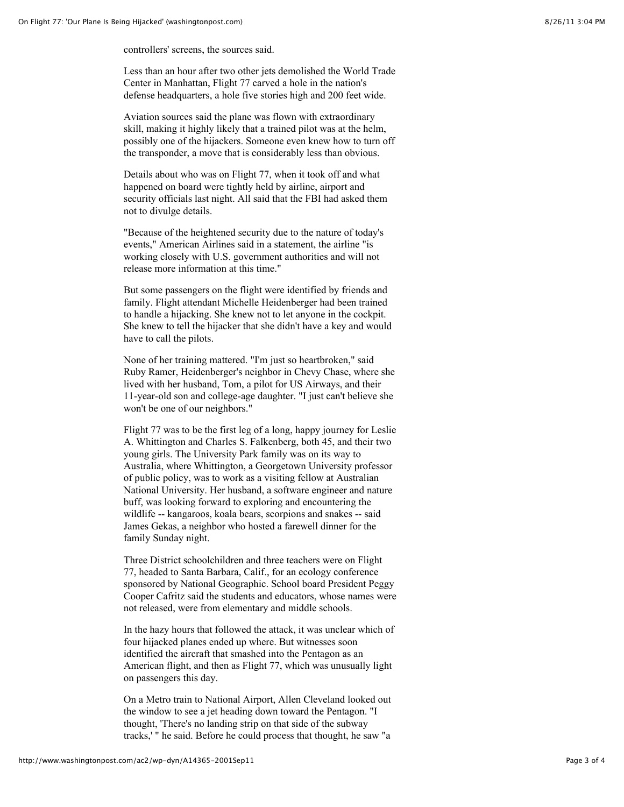controllers' screens, the sources said.

Less than an hour after two other jets demolished the World Trade Center in Manhattan, Flight 77 carved a hole in the nation's defense headquarters, a hole five stories high and 200 feet wide.

Aviation sources said the plane was flown with extraordinary skill, making it highly likely that a trained pilot was at the helm, possibly one of the hijackers. Someone even knew how to turn off the transponder, a move that is considerably less than obvious.

Details about who was on Flight 77, when it took off and what happened on board were tightly held by airline, airport and security officials last night. All said that the FBI had asked them not to divulge details.

"Because of the heightened security due to the nature of today's events," American Airlines said in a statement, the airline "is working closely with U.S. government authorities and will not release more information at this time."

But some passengers on the flight were identified by friends and family. Flight attendant Michelle Heidenberger had been trained to handle a hijacking. She knew not to let anyone in the cockpit. She knew to tell the hijacker that she didn't have a key and would have to call the pilots.

None of her training mattered. "I'm just so heartbroken," said Ruby Ramer, Heidenberger's neighbor in Chevy Chase, where she lived with her husband, Tom, a pilot for US Airways, and their 11-year-old son and college-age daughter. "I just can't believe she won't be one of our neighbors."

Flight 77 was to be the first leg of a long, happy journey for Leslie A. Whittington and Charles S. Falkenberg, both 45, and their two young girls. The University Park family was on its way to Australia, where Whittington, a Georgetown University professor of public policy, was to work as a visiting fellow at Australian National University. Her husband, a software engineer and nature buff, was looking forward to exploring and encountering the wildlife -- kangaroos, koala bears, scorpions and snakes -- said James Gekas, a neighbor who hosted a farewell dinner for the family Sunday night.

Three District schoolchildren and three teachers were on Flight 77, headed to Santa Barbara, Calif., for an ecology conference sponsored by National Geographic. School board President Peggy Cooper Cafritz said the students and educators, whose names were not released, were from elementary and middle schools.

In the hazy hours that followed the attack, it was unclear which of four hijacked planes ended up where. But witnesses soon identified the aircraft that smashed into the Pentagon as an American flight, and then as Flight 77, which was unusually light on passengers this day.

On a Metro train to National Airport, Allen Cleveland looked out the window to see a jet heading down toward the Pentagon. "I thought, 'There's no landing strip on that side of the subway tracks,' " he said. Before he could process that thought, he saw "a